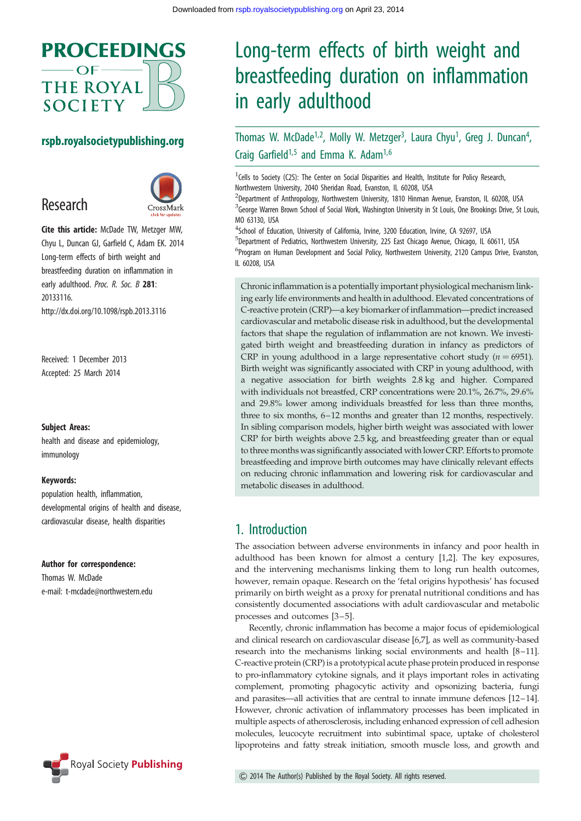

## rspb.royalsocietypublishing.org





Cite this article: McDade TW, Metzger MW, Chyu L, Duncan GJ, Garfield C, Adam EK. 2014 Long-term effects of birth weight and breastfeeding duration on inflammation in early adulthood. Proc. R. Soc. B 281: 20133116. http://dx.doi.org/10.1098/rspb.2013.3116

Received: 1 December 2013 Accepted: 25 March 2014

#### Subject Areas:

health and disease and epidemiology, immunology

#### Keywords:

population health, inflammation, developmental origins of health and disease, cardiovascular disease, health disparities

#### Author for correspondence:

Thomas W. McDade e-mail: [t-mcdade@northwestern.edu](mailto:t-mcdade@northwestern.edu)



# Long-term effects of birth weight and breastfeeding duration on inflammation in early adulthood

#### Thomas W. McDade<sup>1,2</sup>, Molly W. Metzger<sup>3</sup>, Laura Chyu<sup>1</sup>, Greg J. Duncan<sup>4</sup> , Craig Garfield<sup>1,5</sup> and Emma K. Adam<sup>1,6</sup>

<sup>1</sup>Cells to Society (C2S): The Center on Social Disparities and Health, Institute for Policy Research, Northwestern University, 2040 Sheridan Road, Evanston, IL 60208, USA

<sup>2</sup>Department of Anthropology, Northwestern University, 1810 Hinman Avenue, Evanston, IL 60208, USA  ${}^{3}$ George Warren Brown School of Social Work, Washington University in St Louis, One Brookings Drive, St Louis, MO 63130, USA

<sup>4</sup>School of Education, University of California, Irvine, 3200 Education, Irvine, CA 92697, USA

<sup>5</sup>Department of Pediatrics, Northwestern University, 225 East Chicago Avenue, Chicago, IL 60611, USA 6 Program on Human Development and Social Policy, Northwestern University, 2120 Campus Drive, Evanston, IL 60208, USA

Chronic inflammation is a potentially important physiological mechanism linking early life environments and health in adulthood. Elevated concentrations of C-reactive protein (CRP)—a key biomarker of inflammation—predict increased cardiovascular and metabolic disease risk in adulthood, but the developmental factors that shape the regulation of inflammation are not known. We investigated birth weight and breastfeeding duration in infancy as predictors of CRP in young adulthood in a large representative cohort study ( $n = 6951$ ). Birth weight was significantly associated with CRP in young adulthood, with a negative association for birth weights 2.8 kg and higher. Compared with individuals not breastfed, CRP concentrations were 20.1%, 26.7%, 29.6% and 29.8% lower among individuals breastfed for less than three months, three to six months, 6–12 months and greater than 12 months, respectively. In sibling comparison models, higher birth weight was associated with lower CRP for birth weights above 2.5 kg, and breastfeeding greater than or equal to three months was significantly associated with lower CRP. Efforts to promote breastfeeding and improve birth outcomes may have clinically relevant effects on reducing chronic inflammation and lowering risk for cardiovascular and metabolic diseases in adulthood.

# 1. Introduction

The association between adverse environments in infancy and poor health in adulthood has been known for almost a century [[1,2](#page-6-0)]. The key exposures, and the intervening mechanisms linking them to long run health outcomes, however, remain opaque. Research on the 'fetal origins hypothesis' has focused primarily on birth weight as a proxy for prenatal nutritional conditions and has consistently documented associations with adult cardiovascular and metabolic processes and outcomes [[3](#page-6-0)–[5](#page-6-0)].

Recently, chronic inflammation has become a major focus of epidemiological and clinical research on cardiovascular disease [\[6](#page-6-0),[7\]](#page-6-0), as well as community-based research into the mechanisms linking social environments and health [\[8](#page-7-0)–[11\]](#page-7-0). C-reactive protein (CRP) is a prototypical acute phase protein produced in response to pro-inflammatory cytokine signals, and it plays important roles in activating complement, promoting phagocytic activity and opsonizing bacteria, fungi and parasites—all activities that are central to innate immune defences [\[12](#page-7-0)–[14\]](#page-7-0). However, chronic activation of inflammatory processes has been implicated in multiple aspects of atherosclerosis, including enhanced expression of cell adhesion molecules, leucocyte recruitment into subintimal space, uptake of cholesterol lipoproteins and fatty streak initiation, smooth muscle loss, and growth and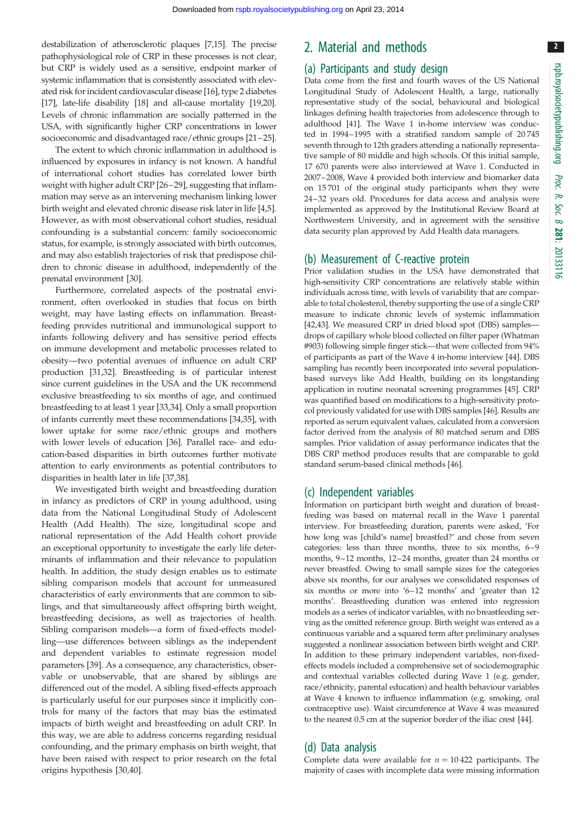destabilization of atherosclerotic plaques [[7](#page-6-0)[,15\]](#page-7-0). The precise pathophysiological role of CRP in these processes is not clear, but CRP is widely used as a sensitive, endpoint marker of systemic inflammation that is consistently associated with elevated risk for incident cardiovascular disease [[16](#page-7-0)], type 2 diabetes [\[17](#page-7-0)], late-life disability [[18](#page-7-0)] and all-cause mortality [[19,20](#page-7-0)]. Levels of chronic inflammation are socially patterned in the USA, with significantly higher CRP concentrations in lower socioeconomic and disadvantaged race/ethnic groups [[21](#page-7-0)–[25](#page-7-0)].

The extent to which chronic inflammation in adulthood is influenced by exposures in infancy is not known. A handful of international cohort studies has correlated lower birth weight with higher adult CRP [\[26](#page-7-0)–[29](#page-7-0)], suggesting that inflammation may serve as an intervening mechanism linking lower birth weight and elevated chronic disease risk later in life [\[4,5](#page-6-0)]. However, as with most observational cohort studies, residual confounding is a substantial concern: family socioeconomic status, for example, is strongly associated with birth outcomes, and may also establish trajectories of risk that predispose children to chronic disease in adulthood, independently of the prenatal environment [[30\]](#page-7-0).

Furthermore, correlated aspects of the postnatal environment, often overlooked in studies that focus on birth weight, may have lasting effects on inflammation. Breastfeeding provides nutritional and immunological support to infants following delivery and has sensitive period effects on immune development and metabolic processes related to obesity—two potential avenues of influence on adult CRP production [[31,32\]](#page-7-0). Breastfeeding is of particular interest since current guidelines in the USA and the UK recommend exclusive breastfeeding to six months of age, and continued breastfeeding to at least 1 year [\[33,34](#page-7-0)]. Only a small proportion of infants currently meet these recommendations [\[34,35](#page-7-0)], with lower uptake for some race/ethnic groups and mothers with lower levels of education [\[36](#page-7-0)]. Parallel race- and education-based disparities in birth outcomes further motivate attention to early environments as potential contributors to disparities in health later in life [[37](#page-7-0),[38\]](#page-7-0).

We investigated birth weight and breastfeeding duration in infancy as predictors of CRP in young adulthood, using data from the National Longitudinal Study of Adolescent Health (Add Health). The size, longitudinal scope and national representation of the Add Health cohort provide an exceptional opportunity to investigate the early life determinants of inflammation and their relevance to population health. In addition, the study design enables us to estimate sibling comparison models that account for unmeasured characteristics of early environments that are common to siblings, and that simultaneously affect offspring birth weight, breastfeeding decisions, as well as trajectories of health. Sibling comparison models—a form of fixed-effects modelling—use differences between siblings as the independent and dependent variables to estimate regression model parameters [[39\]](#page-7-0). As a consequence, any characteristics, observable or unobservable, that are shared by siblings are differenced out of the model. A sibling fixed-effects approach is particularly useful for our purposes since it implicitly controls for many of the factors that may bias the estimated impacts of birth weight and breastfeeding on adult CRP. In this way, we are able to address concerns regarding residual confounding, and the primary emphasis on birth weight, that have been raised with respect to prior research on the fetal origins hypothesis [\[30](#page-7-0),[40\]](#page-7-0).

# 2. Material and methods

## (a) Participants and study design

Data come from the first and fourth waves of the US National Longitudinal Study of Adolescent Health, a large, nationally representative study of the social, behavioural and biological linkages defining health trajectories from adolescence through to adulthood [[41](#page-7-0)]. The Wave 1 in-home interview was conducted in 1994–1995 with a stratified random sample of 20 745 seventh through to 12th graders attending a nationally representative sample of 80 middle and high schools. Of this initial sample, 17 670 parents were also interviewed at Wave 1. Conducted in 2007–2008, Wave 4 provided both interview and biomarker data on 15 701 of the original study participants when they were 24– 32 years old. Procedures for data access and analysis were implemented as approved by the Institutional Review Board at Northwestern University, and in agreement with the sensitive data security plan approved by Add Health data managers.

## (b) Measurement of C-reactive protein

Prior validation studies in the USA have demonstrated that high-sensitivity CRP concentrations are relatively stable within individuals across time, with levels of variability that are comparable to total cholesterol, thereby supporting the use of a single CRP measure to indicate chronic levels of systemic inflammation [[42,43](#page-7-0)]. We measured CRP in dried blood spot (DBS) samples drops of capillary whole blood collected on filter paper (Whatman #903) following simple finger stick—that were collected from 94% of participants as part of the Wave 4 in-home interview [\[44\]](#page-7-0). DBS sampling has recently been incorporated into several populationbased surveys like Add Health, building on its longstanding application in routine neonatal screening programmes [\[45](#page-7-0)]. CRP was quantified based on modifications to a high-sensitivity protocol previously validated for use with DBS samples [\[46\]](#page-7-0). Results are reported as serum equivalent values, calculated from a conversion factor derived from the analysis of 80 matched serum and DBS samples. Prior validation of assay performance indicates that the DBS CRP method produces results that are comparable to gold standard serum-based clinical methods [[46](#page-7-0)].

### (c) Independent variables

Information on participant birth weight and duration of breastfeeding was based on maternal recall in the Wave 1 parental interview. For breastfeeding duration, parents were asked, 'For how long was [child's name] breastfed?' and chose from seven categories: less than three months, three to six months, 6–9 months, 9–12 months, 12–24 months, greater than 24 months or never breastfed. Owing to small sample sizes for the categories above six months, for our analyses we consolidated responses of six months or more into '6–12 months' and 'greater than 12 months'. Breastfeeding duration was entered into regression models as a series of indicator variables, with no breastfeeding serving as the omitted reference group. Birth weight was entered as a continuous variable and a squared term after preliminary analyses suggested a nonlinear association between birth weight and CRP. In addition to these primary independent variables, non-fixedeffects models included a comprehensive set of sociodemographic and contextual variables collected during Wave 1 (e.g. gender, race/ethnicity, parental education) and health behaviour variables at Wave 4 known to influence inflammation (e.g. smoking, oral contraceptive use). Waist circumference at Wave 4 was measured to the nearest 0.5 cm at the superior border of the iliac crest [\[44\]](#page-7-0).

## (d) Data analysis

Complete data were available for  $n = 10 422$  participants. The majority of cases with incomplete data were missing information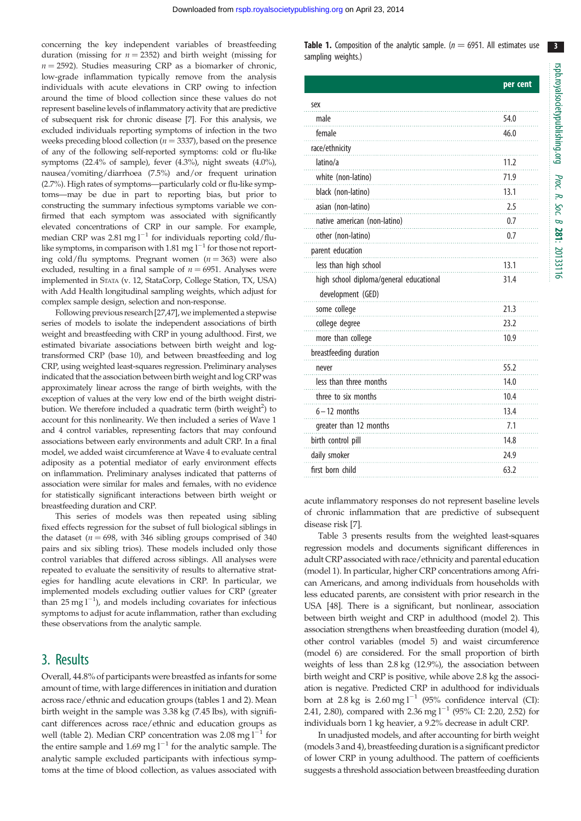concerning the key independent variables of breastfeeding duration (missing for  $n = 2352$ ) and birth weight (missing for  $n = 2592$ ). Studies measuring CRP as a biomarker of chronic, low-grade inflammation typically remove from the analysis individuals with acute elevations in CRP owing to infection around the time of blood collection since these values do not represent baseline levels of inflammatory activity that are predictive of subsequent risk for chronic disease [\[7\]](#page-6-0). For this analysis, we excluded individuals reporting symptoms of infection in the two weeks preceding blood collection ( $n = 3337$ ), based on the presence of any of the following self-reported symptoms: cold or flu-like symptoms (22.4% of sample), fever (4.3%), night sweats (4.0%), nausea/vomiting/diarrhoea (7.5%) and/or frequent urination (2.7%). High rates of symptoms—particularly cold or flu-like symptoms—may be due in part to reporting bias, but prior to constructing the summary infectious symptoms variable we confirmed that each symptom was associated with significantly elevated concentrations of CRP in our sample. For example, median CRP was 2.81 mg  $l^{-1}$  for individuals reporting cold/flulike symptoms, in comparison with 1.81 mg  $l^{-1}$  for those not reporting cold/flu symptoms. Pregnant women  $(n = 363)$  were also excluded, resulting in a final sample of  $n = 6951$ . Analyses were implemented in STATA (v. 12, StataCorp, College Station, TX, USA) with Add Health longitudinal sampling weights, which adjust for complex sample design, selection and non-response.

Following previous research [[27,47](#page-7-0)], we implemented a stepwise series of models to isolate the independent associations of birth weight and breastfeeding with CRP in young adulthood. First, we estimated bivariate associations between birth weight and logtransformed CRP (base 10), and between breastfeeding and log CRP, using weighted least-squares regression. Preliminary analyses indicated that the association between birth weight and log CRP was approximately linear across the range of birth weights, with the exception of values at the very low end of the birth weight distribution. We therefore included a quadratic term (birth weight<sup>2</sup>) to account for this nonlinearity. We then included a series of Wave 1 and 4 control variables, representing factors that may confound associations between early environments and adult CRP. In a final model, we added waist circumference at Wave 4 to evaluate central adiposity as a potential mediator of early environment effects on inflammation. Preliminary analyses indicated that patterns of association were similar for males and females, with no evidence for statistically significant interactions between birth weight or breastfeeding duration and CRP.

This series of models was then repeated using sibling fixed effects regression for the subset of full biological siblings in the dataset ( $n = 698$ , with 346 sibling groups comprised of 340 pairs and six sibling trios). These models included only those control variables that differed across siblings. All analyses were repeated to evaluate the sensitivity of results to alternative strategies for handling acute elevations in CRP. In particular, we implemented models excluding outlier values for CRP (greater than 25 mg  $1^{-1}$ ), and models including covariates for infectious symptoms to adjust for acute inflammation, rather than excluding these observations from the analytic sample.

# 3. Results

Overall, 44.8% of participants were breastfed as infants for some amount of time, with large differences in initiation and duration across race/ethnic and education groups (tables 1 and [2](#page-3-0)). Mean birth weight in the sample was 3.38 kg (7.45 lbs), with significant differences across race/ethnic and education groups as well ([table 2\)](#page-3-0). Median CRP concentration was  $2.08 \text{ mg l}^{-1}$  for the entire sample and 1.69 mg  $l^{-1}$  for the analytic sample. The analytic sample excluded participants with infectious symptoms at the time of blood collection, as values associated with

**Table 1.** Composition of the analytic sample. ( $n = 6951$ . All estimates use sampling weights.)

|                                         | per cent |
|-----------------------------------------|----------|
| sex                                     |          |
| male                                    | 54.0     |
| female                                  | 46.0     |
| race/ethnicity                          |          |
| latino/a                                | 11.2     |
| white (non-latino)                      | 71.9     |
| black (non-latino)                      | 13.1     |
| asian (non-latino)                      | 2.5      |
| native american (non-latino)            | 0.7      |
| other (non-latino)                      | 0.7      |
| parent education                        |          |
| less than high school                   | 13.1     |
| high school diploma/general educational | 31.4     |
| development (GED)                       |          |
| some college                            | 21.3     |
| college degree                          | 23.2     |
| more than college                       | 10.9     |
| breastfeeding duration                  |          |
| never                                   | 55.2     |
| less than three months                  | 14.0     |
| three to six months                     | 10.4     |
| $6 - 12$ months                         | 13.4     |
| greater than 12 months                  | 7.1      |
| birth control pill                      | 14.8     |
| daily smoker                            | 24.9     |
| first born child                        | 63.2     |

acute inflammatory responses do not represent baseline levels of chronic inflammation that are predictive of subsequent disease risk [[7](#page-6-0)].

[Table 3](#page-4-0) presents results from the weighted least-squares regression models and documents significant differences in adult CRP associated with race/ethnicity and parental education (model 1). In particular, higher CRP concentrations among African Americans, and among individuals from households with less educated parents, are consistent with prior research in the USA [[48](#page-7-0)]. There is a significant, but nonlinear, association between birth weight and CRP in adulthood (model 2). This association strengthens when breastfeeding duration (model 4), other control variables (model 5) and waist circumference (model 6) are considered. For the small proportion of birth weights of less than 2.8 kg (12.9%), the association between birth weight and CRP is positive, while above 2.8 kg the association is negative. Predicted CRP in adulthood for individuals born at  $2.8 \text{ kg}$  is  $2.60 \text{ mg}$ <sup>1-1</sup> (95% confidence interval (CI): 2.41, 2.80), compared with 2.36 mg  $l^{-1}$  (95% CI: 2.20, 2.52) for individuals born 1 kg heavier, a 9.2% decrease in adult CRP.

In unadjusted models, and after accounting for birth weight (models 3 and 4), breastfeeding duration is a significant predictor of lower CRP in young adulthood. The pattern of coefficients suggests a threshold association between breastfeeding duration 3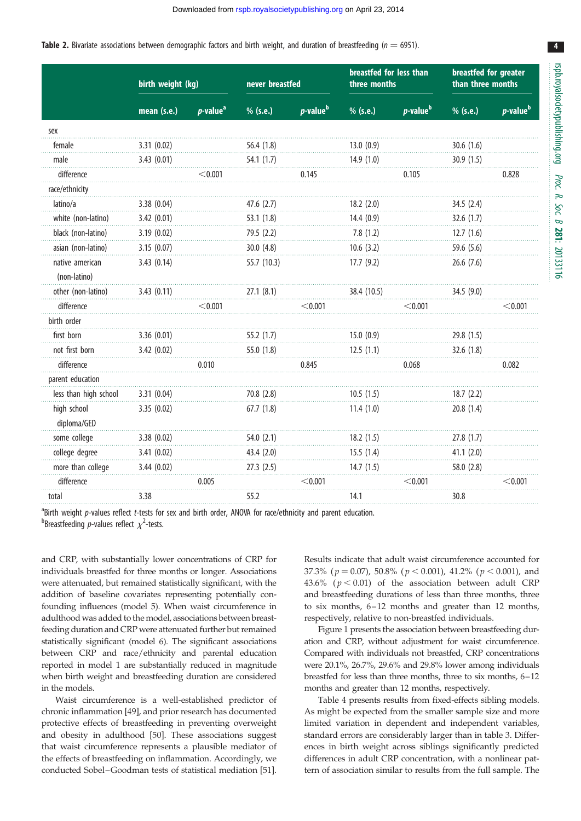<span id="page-3-0"></span>**Table 2.** Bivariate associations between demographic factors and birth weight, and duration of breastfeeding ( $n = 6951$ ).

|                                 | birth weight (kg) |                         | never breastfed |                                  | breastfed for less than<br>three months |                | breastfed for greater<br>than three months |                              |
|---------------------------------|-------------------|-------------------------|-----------------|----------------------------------|-----------------------------------------|----------------|--------------------------------------------|------------------------------|
|                                 | mean (s.e.)       | $p$ -value <sup>a</sup> | % (s.e.)        | $\overline{p}$ -value $^{\rm b}$ | % (s.e.)                                | $p$ -value $b$ | % (s.e.)                                   | <i>p</i> -value <sup>b</sup> |
| sex                             |                   |                         |                 |                                  |                                         |                |                                            |                              |
| female                          | 3.31 (0.02)       |                         | 56.4 (1.8)      |                                  | 13.0(0.9)                               |                | 30.6(1.6)                                  |                              |
| male                            | 3.43(0.01)        |                         | 54.1 (1.7)      |                                  | 14.9(1.0)                               |                | 30.9(1.5)                                  |                              |
| difference                      |                   | < 0.001                 |                 | 0.145                            |                                         | 0.105          |                                            | 0.828                        |
| race/ethnicity                  |                   |                         |                 |                                  |                                         |                |                                            |                              |
| latino/a                        | 3.38 (0.04)       |                         | 47.6 (2.7)      |                                  | 18.2(2.0)                               |                | 34.5 (2.4)                                 |                              |
| white (non-latino)              | 3.42(0.01)        |                         | 53.1(1.8)       |                                  | 14.4(0.9)                               |                | 32.6(1.7)                                  |                              |
| black (non-latino)              | 3.19 (0.02)       |                         | 79.5 (2.2)      |                                  | 7.8(1.2)                                |                | 12.7(1.6)                                  |                              |
| asian (non-latino)              | 3.15 (0.07)       |                         | 30.0(4.8)       |                                  | 10.6(3.2)                               |                | 59.6 (5.6)                                 |                              |
| native american<br>(non-latino) | 3.43(0.14)        |                         | 55.7 (10.3)     |                                  | 17.7(9.2)                               |                | 26.6(7.6)                                  |                              |
| other (non-latino)              | 3.43(0.11)        |                         | 27.1(8.1)       |                                  | 38.4 (10.5)                             |                | 34.5 (9.0)                                 |                              |
| difference                      |                   | < 0.001                 |                 | < 0.001                          |                                         | < 0.001        |                                            | < 0.001                      |
| birth order                     |                   |                         |                 |                                  |                                         |                |                                            |                              |
| first born                      | 3.36(0.01)        |                         | 55.2(1.7)       |                                  | 15.0(0.9)                               |                | 29.8 (1.5)                                 |                              |
| not first born                  | 3.42 (0.02)       |                         | 55.0 (1.8)      |                                  | 12.5(1.1)                               |                | 32.6(1.8)                                  |                              |
| difference                      |                   | 0.010                   |                 | 0.845                            |                                         | 0.068          |                                            | 0.082                        |
| parent education                |                   |                         |                 |                                  |                                         |                |                                            |                              |
| less than high school           | 3.31 (0.04)       |                         | 70.8(2.8)       |                                  | 10.5(1.5)                               |                | 18.7(2.2)                                  |                              |
| high school<br>diploma/GED      | 3.35 (0.02)       |                         | 67.7(1.8)       |                                  | 11.4(1.0)                               |                | 20.8(1.4)                                  |                              |
| some college                    | 3.38 (0.02)       |                         | 54.0 (2.1)      |                                  | 18.2 (1.5)                              |                | 27.8(1.7)                                  |                              |
| college degree                  | 3.41(0.02)        |                         | 43.4 (2.0)      |                                  | 15.5(1.4)                               |                | 41.1(2.0)                                  |                              |
| more than college               | 3.44(0.02)        |                         | 27.3(2.5)       |                                  | 14.7(1.5)                               |                | 58.0 (2.8)                                 |                              |
| difference                      |                   | 0.005                   |                 | < 0.001                          |                                         | < 0.001        |                                            | < 0.001                      |
| total                           | 3.38              |                         | 55.2            |                                  | 14.1                                    |                | 30.8                                       |                              |

<sup>a</sup>Birth weight p-values reflect t-tests for sex and birth order, ANOVA for race/ethnicity and parent education. <sup>b</sup>Breastfeeding p-values reflect  $\chi^2$ -tests.

and CRP, with substantially lower concentrations of CRP for individuals breastfed for three months or longer. Associations were attenuated, but remained statistically significant, with the addition of baseline covariates representing potentially confounding influences (model 5). When waist circumference in adulthood was added to the model, associations between breastfeeding duration and CRP were attenuated further but remained statistically significant (model 6). The significant associations between CRP and race/ethnicity and parental education reported in model 1 are substantially reduced in magnitude when birth weight and breastfeeding duration are considered in the models.

Waist circumference is a well-established predictor of chronic inflammation [[49\]](#page-8-0), and prior research has documented protective effects of breastfeeding in preventing overweight and obesity in adulthood [\[50](#page-8-0)]. These associations suggest that waist circumference represents a plausible mediator of the effects of breastfeeding on inflammation. Accordingly, we conducted Sobel–Goodman tests of statistical mediation [\[51](#page-8-0)]. Results indicate that adult waist circumference accounted for 37.3% ( $p = 0.07$ ), 50.8% ( $p < 0.001$ ), 41.2% ( $p < 0.001$ ), and 43.6% ( $p < 0.01$ ) of the association between adult CRP and breastfeeding durations of less than three months, three to six months, 6–12 months and greater than 12 months, respectively, relative to non-breastfed individuals.

[Figure 1](#page-5-0) presents the association between breastfeeding duration and CRP, without adjustment for waist circumference. Compared with individuals not breastfed, CRP concentrations were 20.1%, 26.7%, 29.6% and 29.8% lower among individuals breastfed for less than three months, three to six months, 6–12 months and greater than 12 months, respectively.

[Table 4](#page-6-0) presents results from fixed-effects sibling models. As might be expected from the smaller sample size and more limited variation in dependent and independent variables, standard errors are considerably larger than in [table 3](#page-4-0). Differences in birth weight across siblings significantly predicted differences in adult CRP concentration, with a nonlinear pattern of association similar to results from the full sample. The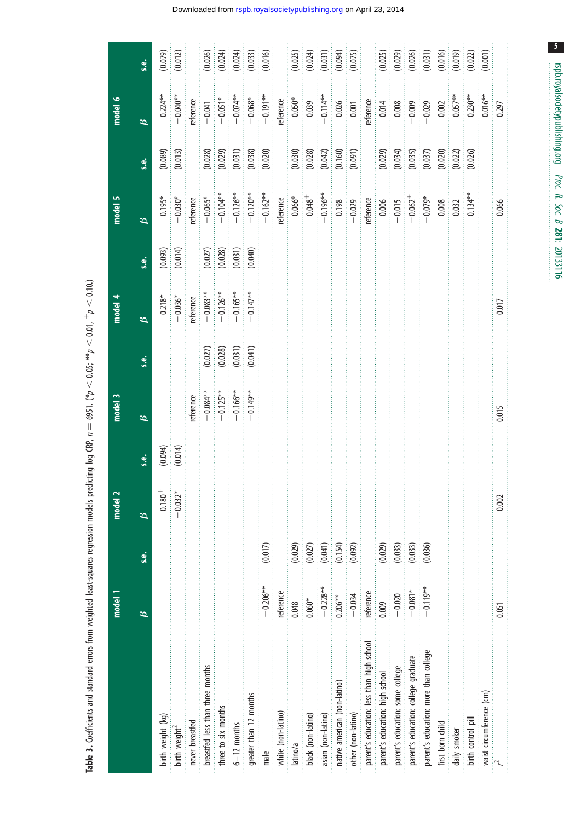<span id="page-4-0"></span>

|                                           | model 1        |          | model 2                  |         | model 3              |                        | model 4                  |                        | model 5                  |                                     | model 6                   |                                                                                    |
|-------------------------------------------|----------------|----------|--------------------------|---------|----------------------|------------------------|--------------------------|------------------------|--------------------------|-------------------------------------|---------------------------|------------------------------------------------------------------------------------|
|                                           | $\overline{6}$ | نه<br>مُ | $\overline{\mathcal{C}}$ | c.e.    | $\boldsymbol{\beta}$ | ية.                    | $\overline{\mathcal{C}}$ | ڹۣ                     | $\overline{\mathcal{C}}$ | ۣۊ                                  | $\vec{z}$                 | ۣۊ                                                                                 |
| birth weight (kg)                         |                |          | $0.180^+$                | (0.094) |                      |                        | $0.218*$                 | (0.093)                | $0.195*$                 | (0.089)                             | $0.224***$                | (0.079)                                                                            |
| birth weight <sup>2</sup>                 |                |          | $-0.032*$                | (0.014) |                      |                        | $-0.036*$                | (0.014)                | $-0.030*$                | (0.013)                             | $-0.040***$               | (0.012)                                                                            |
| never breastfed                           |                |          |                          |         | reference            |                        | reference                |                        | reference                |                                     | eference                  |                                                                                    |
| breastfed less than three months          |                |          |                          |         | $-0.084***$          |                        | $-0.083**$               |                        | $-0.065*$                |                                     | $-0.041$                  |                                                                                    |
| three to six months                       |                |          |                          |         | $-0.125**$           | $(0.027)$<br>$(0.028)$ | $-0.126**$               | $(0.027)$<br>$(0.028)$ | $-0.104**$               | $(0.028)$<br>$(0.029)$              | $-0.051*$                 |                                                                                    |
| $6 - 12$ months                           |                |          |                          |         | $-0.166**$           |                        | $-0.165**$               | (0.031)                | $-0.126**$               | (0.031)                             | $-0.074**$                | $\begin{array}{c} (0.026) \\ (0.024) \\ (0.024) \\ (0.033) \\ (0.016) \end{array}$ |
| greater than 12 months                    |                |          |                          |         | $0.149***$           | $(0.031)$<br>$(0.041)$ | $-0.147**$               | (0.040)                | $-0.120***$              |                                     | $-0.068*$                 |                                                                                    |
| male                                      | $-0.206***$    | (0.017)  |                          |         |                      |                        |                          |                        | $-0.162**$               | $(0.038)$<br>$(0.020)$              | $-0.191**$                |                                                                                    |
| white (non-latino)                        | reference      |          |                          |         |                      |                        |                          |                        | reference                |                                     | reference                 |                                                                                    |
| latino/a                                  | 0.048          | (0.029)  |                          |         |                      |                        |                          |                        | $0.066*$                 | (0.030)                             | $\frac{0.050^{*}}{0.039}$ |                                                                                    |
| black (non-latino)                        | $0.060*$       | (0.027)  |                          |         |                      |                        |                          |                        | $0.048 +$                |                                     |                           |                                                                                    |
| asian (non-latino)                        | $-0.228**$     | (0.041)  |                          |         |                      |                        |                          |                        | $-0.196**$               | $(0.028)$<br>$(0.042)$              | $-0.114**$                | $(0.025)$<br>$(0.024)$<br>$(0.031)$<br>$(0.094)$                                   |
| native american (non-latino)              | $0.206***$     | (0.154)  |                          |         |                      |                        |                          |                        | 0.198                    | (0.160)                             | 0.026                     |                                                                                    |
| other (non-latino)                        | $-0.034$       | (0.092)  |                          |         |                      |                        |                          |                        | $-0.029$                 | (0.091)                             |                           | (0.075)                                                                            |
| parent's education: less than high school | reference      |          |                          |         |                      |                        |                          |                        | reference                |                                     | $0.001$<br>reference      |                                                                                    |
| parent's education: high school           | 0.009          | (0.029)  |                          |         |                      |                        |                          |                        | 0.006                    | (0.029)                             | 0.014                     | (0.025)                                                                            |
| parent's education: some college          | $-0.020$       | (0.033)  |                          |         |                      |                        |                          |                        | $-0.015$                 |                                     |                           |                                                                                    |
| parent's education: college graduate      | $-0.081*$      | (0.033)  |                          |         |                      |                        |                          |                        | $-0.062$ <sup>+</sup>    | $(0.034)$<br>$(0.035)$<br>$(0.037)$ | 0.008                     | $(0.029)$<br>$(0.026)$<br>$(0.031)$<br>$(0.016)$                                   |
| parent's education: more than college     | $-0.119**$     | (0.036)  |                          |         |                      |                        |                          |                        | $-0.079*$                |                                     | $-0.029$                  |                                                                                    |
| first born child                          |                |          |                          |         |                      |                        |                          |                        | $0.008\,$                | (0.020)                             | 0.002                     |                                                                                    |
| daily smoker                              |                |          |                          |         |                      |                        |                          |                        | 0.032                    | (0.022)                             | $0.057***$                |                                                                                    |
| birth control pill                        |                |          |                          |         |                      |                        |                          |                        | $0.134***$               | (0.026)                             | $0.230**$                 | $(0.019)$<br>$(0.022)$                                                             |
| waist circumference (cm)                  |                |          |                          |         |                      |                        |                          |                        |                          |                                     | $0.016**$                 | (0.001)                                                                            |
|                                           | 0.051          |          | 0.002                    |         | 0.015                |                        | 0.017                    |                        | 0.066                    |                                     | 0.297                     |                                                                                    |

Table 3. Coefficients and standard errors from weighted least-squares regression models predicting log CRP,  $n = 6951$ . (\* $p < 0.05$ ; \*\* $p < 0.01$ , + $p < 0.10$ .) Table 3. Coefficients and standard errors from weighted least-squares regression models predicting log CRP,  $n = 6951$ . (\* $p < 0.05$ ; \*\* $p < 0.01$ ,  $^+p < 0.10$ .)

 $\overline{\phantom{a}}$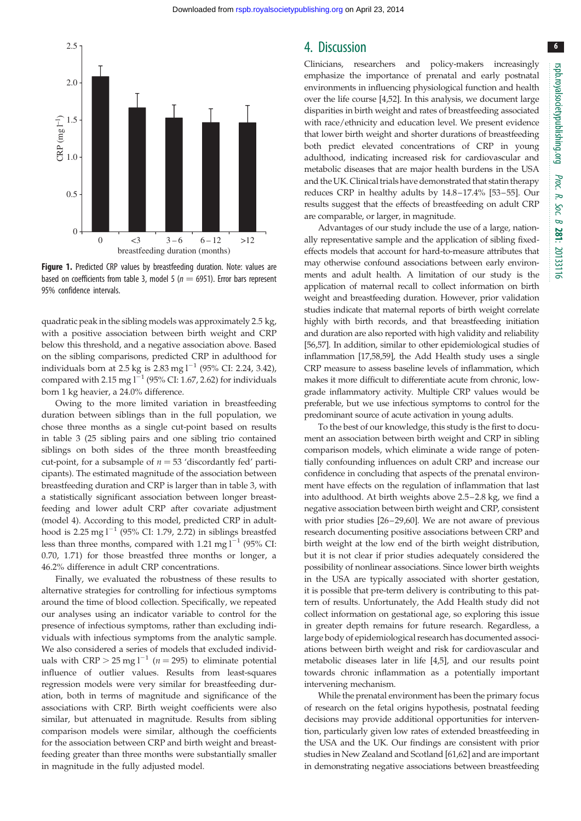<span id="page-5-0"></span>

Figure 1. Predicted CRP values by breastfeeding duration. Note: values are based on coefficients from [table 3,](#page-4-0) model 5 ( $n = 6951$ ). Error bars represent 95% confidence intervals.

quadratic peak in the sibling models was approximately 2.5 kg, with a positive association between birth weight and CRP below this threshold, and a negative association above. Based on the sibling comparisons, predicted CRP in adulthood for individuals born at 2.5 kg is 2.83 mg  $l^{-1}$  (95% CI: 2.24, 3.42), compared with 2.15 mg  $I^{-1}$  (95% CI: 1.67, 2.62) for individuals born 1 kg heavier, a 24.0% difference.

Owing to the more limited variation in breastfeeding duration between siblings than in the full population, we chose three months as a single cut-point based on results in [table 3](#page-4-0) (25 sibling pairs and one sibling trio contained siblings on both sides of the three month breastfeeding cut-point, for a subsample of  $n = 53$  'discordantly fed' participants). The estimated magnitude of the association between breastfeeding duration and CRP is larger than in [table 3,](#page-4-0) with a statistically significant association between longer breastfeeding and lower adult CRP after covariate adjustment (model 4). According to this model, predicted CRP in adulthood is 2.25 mg  $1^{-1}$  (95% CI: 1.79, 2.72) in siblings breastfed less than three months, compared with 1.21 mg  $l^{-1}$  (95% CI: 0.70, 1.71) for those breastfed three months or longer, a 46.2% difference in adult CRP concentrations.

Finally, we evaluated the robustness of these results to alternative strategies for controlling for infectious symptoms around the time of blood collection. Specifically, we repeated our analyses using an indicator variable to control for the presence of infectious symptoms, rather than excluding individuals with infectious symptoms from the analytic sample. We also considered a series of models that excluded individuals with  $CRP > 25$  mg l<sup>-1</sup> (n = 295) to eliminate potential influence of outlier values. Results from least-squares regression models were very similar for breastfeeding duration, both in terms of magnitude and significance of the associations with CRP. Birth weight coefficients were also similar, but attenuated in magnitude. Results from sibling comparison models were similar, although the coefficients for the association between CRP and birth weight and breastfeeding greater than three months were substantially smaller in magnitude in the fully adjusted model.

# 4. Discussion

Clinicians, researchers and policy-makers increasingly emphasize the importance of prenatal and early postnatal environments in influencing physiological function and health over the life course [\[4,](#page-6-0)[52\]](#page-8-0). In this analysis, we document large disparities in birth weight and rates of breastfeeding associated with race/ethnicity and education level. We present evidence that lower birth weight and shorter durations of breastfeeding both predict elevated concentrations of CRP in young adulthood, indicating increased risk for cardiovascular and metabolic diseases that are major health burdens in the USA and the UK. Clinical trials have demonstrated that statin therapy reduces CRP in healthy adults by 14.8–17.4% [\[53](#page-8-0)–[55](#page-8-0)]. Our results suggest that the effects of breastfeeding on adult CRP are comparable, or larger, in magnitude.

Advantages of our study include the use of a large, nationally representative sample and the application of sibling fixedeffects models that account for hard-to-measure attributes that may otherwise confound associations between early environments and adult health. A limitation of our study is the application of maternal recall to collect information on birth weight and breastfeeding duration. However, prior validation studies indicate that maternal reports of birth weight correlate highly with birth records, and that breastfeeding initiation and duration are also reported with high validity and reliability [[56,57](#page-8-0)]. In addition, similar to other epidemiological studies of inflammation [\[17,](#page-7-0)[58,59](#page-8-0)], the Add Health study uses a single CRP measure to assess baseline levels of inflammation, which makes it more difficult to differentiate acute from chronic, lowgrade inflammatory activity. Multiple CRP values would be preferable, but we use infectious symptoms to control for the predominant source of acute activation in young adults.

To the best of our knowledge, this study is the first to document an association between birth weight and CRP in sibling comparison models, which eliminate a wide range of potentially confounding influences on adult CRP and increase our confidence in concluding that aspects of the prenatal environment have effects on the regulation of inflammation that last into adulthood. At birth weights above 2.5–2.8 kg, we find a negative association between birth weight and CRP, consistent with prior studies [[26](#page-7-0)–[29,](#page-7-0)[60\]](#page-8-0). We are not aware of previous research documenting positive associations between CRP and birth weight at the low end of the birth weight distribution, but it is not clear if prior studies adequately considered the possibility of nonlinear associations. Since lower birth weights in the USA are typically associated with shorter gestation, it is possible that pre-term delivery is contributing to this pattern of results. Unfortunately, the Add Health study did not collect information on gestational age, so exploring this issue in greater depth remains for future research. Regardless, a large body of epidemiological research has documented associations between birth weight and risk for cardiovascular and metabolic diseases later in life [[4,5\]](#page-6-0), and our results point towards chronic inflammation as a potentially important intervening mechanism.

While the prenatal environment has been the primary focus of research on the fetal origins hypothesis, postnatal feeding decisions may provide additional opportunities for intervention, particularly given low rates of extended breastfeeding in the USA and the UK. Our findings are consistent with prior studies in New Zealand and Scotland [\[61,62](#page-8-0)] and are important in demonstrating negative associations between breastfeeding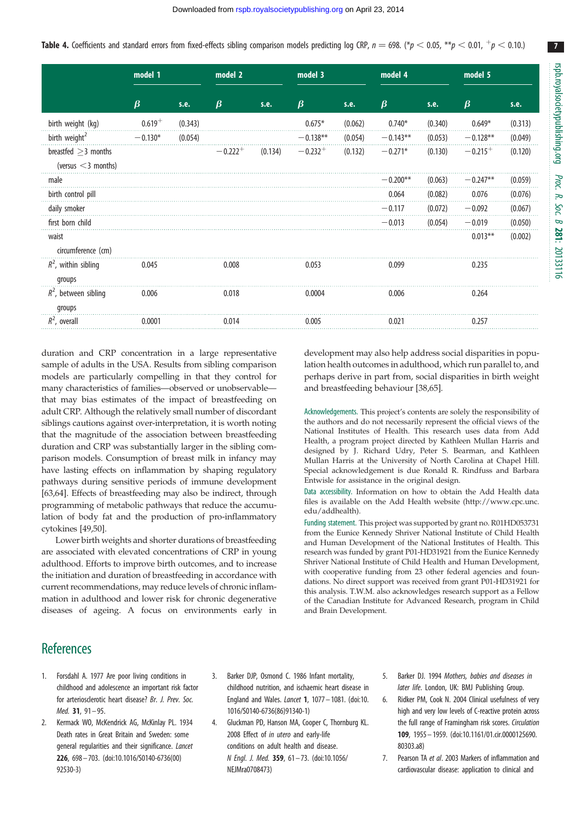<span id="page-6-0"></span>**Table 4.** Coefficients and standard errors from fixed-effects sibling comparison models predicting log CRP,  $n = 698$ . (\*p < 0.05, \*\*p < 0.01, +p < 0.10.)

|                                                    | model 1     |         | model 2      |         | model 3      |         | model 4    |         | model 5      |         |
|----------------------------------------------------|-------------|---------|--------------|---------|--------------|---------|------------|---------|--------------|---------|
|                                                    | $\beta$     | s.e.    | $\beta$      | s.e.    | $\beta$      | s.e.    | $\beta$    | s.e.    | $\beta$      | s.e.    |
| birth weight (kg)                                  | $0.619^{+}$ | (0.343) |              |         | $0.675*$     | (0.062) | $0.740*$   | (0.340) | $0.649*$     | (0.313) |
| birth weight <sup>2</sup>                          | $-0.130*$   | (0.054) |              |         | $-0.138**$   | (0.054) | $-0.143**$ | (0.053) | $-0.128**$   | (0.049) |
| breastfed $\geq$ 3 months<br>(versus $<$ 3 months) |             |         | $-0.222^{+}$ | (0.134) | $-0.232^{+}$ | (0.132) | $-0.271*$  | (0.130) | $-0.215^{+}$ | (0.120) |
| male                                               |             |         |              |         |              |         | $-0.200**$ | (0.063) | $-0.247**$   | (0.059) |
| birth control pill                                 |             |         |              |         |              |         | 0.064      | (0.082) | 0.076        | (0.076) |
| daily smoker                                       |             |         |              |         |              |         | $-0.117$   | (0.072) | $-0.092$     | (0.067) |
| first born child                                   |             |         |              |         |              |         | $-0.013$   | (0.054) | $-0.019$     | (0.050) |
| waist<br>circumference (cm)                        |             |         |              |         |              |         |            |         | $0.013***$   | (0.002) |
| $R^2$ , within sibling<br>groups                   | 0.045       |         | 0.008        |         | 0.053        |         | 0.099      |         | 0.235        |         |
| $R^2$ , between sibling<br>groups                  | 0.006       |         | 0.018        |         | 0.0004       |         | 0.006      |         | 0.264        |         |
| $R^2$ , overall                                    | 0.0001      |         | 0.014        |         | 0.005        |         | 0.021      |         | 0.257        |         |

duration and CRP concentration in a large representative sample of adults in the USA. Results from sibling comparison models are particularly compelling in that they control for many characteristics of families—observed or unobservable that may bias estimates of the impact of breastfeeding on adult CRP. Although the relatively small number of discordant siblings cautions against over-interpretation, it is worth noting that the magnitude of the association between breastfeeding duration and CRP was substantially larger in the sibling comparison models. Consumption of breast milk in infancy may have lasting effects on inflammation by shaping regulatory pathways during sensitive periods of immune development [\[63,64](#page-8-0)]. Effects of breastfeeding may also be indirect, through programming of metabolic pathways that reduce the accumulation of body fat and the production of pro-inflammatory cytokines [[49](#page-8-0),[50](#page-8-0)].

Lower birth weights and shorter durations of breastfeeding are associated with elevated concentrations of CRP in young adulthood. Efforts to improve birth outcomes, and to increase the initiation and duration of breastfeeding in accordance with current recommendations, may reduce levels of chronic inflammation in adulthood and lower risk for chronic degenerative diseases of ageing. A focus on environments early in development may also help address social disparities in population health outcomes in adulthood, which run parallel to, and perhaps derive in part from, social disparities in birth weight and breastfeeding behaviour [[38](#page-7-0)[,65](#page-8-0)].

Acknowledgements. This project's contents are solely the responsibility of the authors and do not necessarily represent the official views of the National Institutes of Health. This research uses data from Add Health, a program project directed by Kathleen Mullan Harris and designed by J. Richard Udry, Peter S. Bearman, and Kathleen Mullan Harris at the University of North Carolina at Chapel Hill. Special acknowledgement is due Ronald R. Rindfuss and Barbara Entwisle for assistance in the original design.

Data accessibility. Information on how to obtain the Add Health data files is available on the Add Health website [\(http://www.cpc.unc.](http://www.cpc.unc.edu/addhealth) [edu/addhealth](http://www.cpc.unc.edu/addhealth)).

Funding statement. This project was supported by grant no. R01HD053731 from the Eunice Kennedy Shriver National Institute of Child Health and Human Development of the National Institutes of Health. This research was funded by grant P01-HD31921 from the Eunice Kennedy Shriver National Institute of Child Health and Human Development, with cooperative funding from 23 other federal agencies and foundations. No direct support was received from grant P01-HD31921 for this analysis. T.W.M. also acknowledges research support as a Fellow of the Canadian Institute for Advanced Research, program in Child and Brain Development.

# **References**

- 1. Forsdahl A. 1977 Are poor living conditions in childhood and adolescence an important risk factor for arteriosclerotic heart disease? Br. J. Prev. Soc. Med. 31, 91-95.
- 2. Kermack WO, McKendrick AG, McKinlay PL. 1934 Death rates in Great Britain and Sweden: some general regularities and their significance. Lancet 226, 698– 703. [\(doi:10.1016/S0140-6736\(00\)](http://dx.doi.org/10.1016/S0140-6736(00)92530-3) [92530-3\)](http://dx.doi.org/10.1016/S0140-6736(00)92530-3)
- 3. Barker DJP, Osmond C. 1986 Infant mortality, childhood nutrition, and ischaemic heart disease in England and Wales. Lancet 1, 1077– 1081. [\(doi:10.](http://dx.doi.org/10.1016/S0140-6736(86)91340-1) [1016/S0140-6736\(86\)91340-1](http://dx.doi.org/10.1016/S0140-6736(86)91340-1))
- 4. Gluckman PD, Hanson MA, Cooper C, Thornburg KL. 2008 Effect of in utero and early-life conditions on adult health and disease. N Engl. J. Med. 359, 61 – 73. [\(doi:10.1056/](http://dx.doi.org/10.1056/NEJMra0708473) [NEJMra0708473\)](http://dx.doi.org/10.1056/NEJMra0708473)
- 5. Barker DJ. 1994 Mothers, babies and diseases in later life. London, UK: BMJ Publishing Group.
- 6. Ridker PM, Cook N. 2004 Clinical usefulness of very high and very low levels of C-reactive protein across the full range of Framingham risk scores. Circulation 109, 1955– 1959. ([doi:10.1161/01.cir.0000125690.](http://dx.doi.org/10.1161/01.cir.0000125690.80303.a8) [80303.a8\)](http://dx.doi.org/10.1161/01.cir.0000125690.80303.a8)
- 7. Pearson TA et al. 2003 Markers of inflammation and cardiovascular disease: application to clinical and

7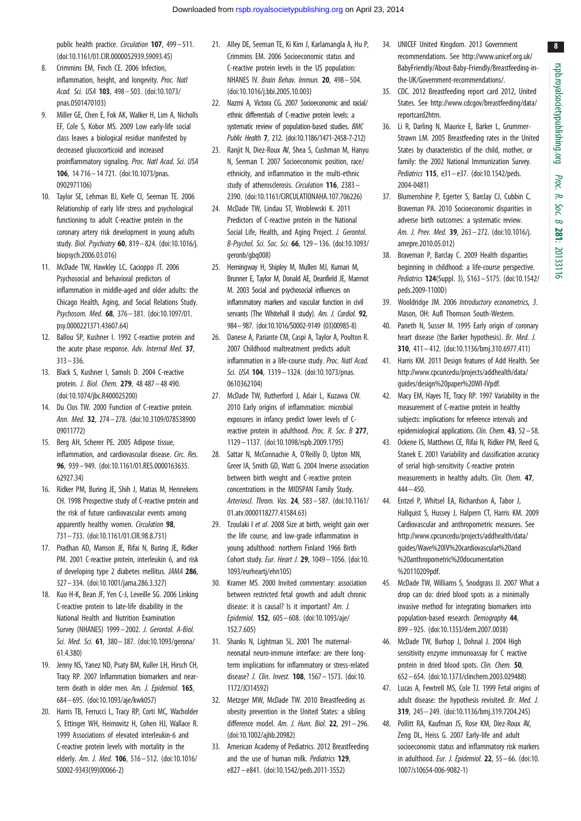<span id="page-7-0"></span>public health practice. Circulation 107, 499 – 511. [\(doi:10.1161/01.CIR.0000052939.59093.45](http://dx.doi.org/10.1161/01.CIR.0000052939.59093.45))

- 8. Crimmins EM, Finch CE. 2006 Infection, inflammation, height, and longevity. Proc. Natl Acad. Sci. USA 103, 498– 503. ([doi:10.1073/](http://dx.doi.org/10.1073/pnas.0501470103) [pnas.0501470103](http://dx.doi.org/10.1073/pnas.0501470103))
- 9. Miller GE, Chen E, Fok AK, Walker H, Lim A, Nicholls EF, Cole S, Kobor MS. 2009 Low early-life social class leaves a biological residue manifested by decreased glucocorticoid and increased proinflammatory signaling. Proc. Natl Acad. Sci. USA 106, 14 716– 14 721. ([doi:10.1073/pnas.](http://dx.doi.org/10.1073/pnas.0902971106) [0902971106\)](http://dx.doi.org/10.1073/pnas.0902971106)
- 10. Taylor SE, Lehman BJ, Kiefe CI, Seeman TE. 2006 Relationship of early life stress and psychological functioning to adult C-reactive protein in the coronary artery risk development in young adults study. Biol. Psychiatry 60, 819– 824. [\(doi:10.1016/j.](http://dx.doi.org/10.1016/j.biopsych.2006.03.016) [biopsych.2006.03.016](http://dx.doi.org/10.1016/j.biopsych.2006.03.016))
- 11. McDade TW, Hawkley LC, Cacioppo JT. 2006 Psychosocial and behavioral predictors of inflammation in middle-aged and older adults: the Chicago Health, Aging, and Social Relations Study. Psychosom. Med. 68, 376– 381. ([doi:10.1097/01.](http://dx.doi.org/10.1097/01.psy.0000221371.43607.64) [psy.0000221371.43607.64](http://dx.doi.org/10.1097/01.psy.0000221371.43607.64))
- 12. Ballou SP, Kushner I. 1992 C-reactive protein and the acute phase response. Adv. Internal Med. 37, 313– 336.
- 13. Black S, Kushner I, Samols D. 2004 C-reactive protein. J. Biol. Chem. 279, 48 487– 48 490. [\(doi:10.1074/jbc.R400025200\)](http://dx.doi.org/10.1074/jbc.R400025200)
- 14. Du Clos TW. 2000 Function of C-reactive protein. Ann. Med. 32, 274 – 278. [\(doi:10.3109/078538900](http://dx.doi.org/10.3109/07853890009011772) [09011772](http://dx.doi.org/10.3109/07853890009011772))
- 15. Berg AH, Scherer PE. 2005 Adipose tissue, inflammation, and cardiovascular disease. Circ. Res. 96, 939– 949. ([doi:10.1161/01.RES.0000163635.](http://dx.doi.org/10.1161/01.RES.0000163635.62927.34) [62927.34](http://dx.doi.org/10.1161/01.RES.0000163635.62927.34))
- 16. Ridker PM, Buring JE, Shih J, Matias M, Hennekens CH. 1998 Prospective study of C-reactive protein and the risk of future cardiovascular events among apparently healthy women. Circulation 98, 731– 733. ([doi:10.1161/01.CIR.98.8.731\)](http://dx.doi.org/10.1161/01.CIR.98.8.731)
- 17. Pradhan AD, Manson JE, Rifai N, Buring JE, Ridker PM. 2001 C-reactive protein, interleukin 6, and risk of developing type 2 diabetes mellitus. JAMA 286, 327– 334. ([doi:10.1001/jama.286.3.327](http://dx.doi.org/10.1001/jama.286.3.327))
- 18. Kuo H-K, Bean JF, Yen C-J, Leveille SG. 2006 Linking C-reactive protein to late-life disability in the National Health and Nutrition Examination Survey (NHANES) 1999-2002. J. Gerontol. A-Biol. Sci. Med. Sci. 61, 380– 387. ([doi:10.1093/gerona/](http://dx.doi.org/10.1093/gerona/61.4.380) [61.4.380\)](http://dx.doi.org/10.1093/gerona/61.4.380)
- 19. Jenny NS, Yanez ND, Psaty BM, Kuller LH, Hirsch CH, Tracy RP. 2007 Inflammation biomarkers and nearterm death in older men. Am. J. Epidemiol. 165, 684– 695. ([doi:10.1093/aje/kwk057\)](http://dx.doi.org/10.1093/aje/kwk057)
- 20. Harris TB, Ferrucci L, Tracy RP, Corti MC, Wacholder S, Ettinger WH, Heimovitz H, Cohen HJ, Wallace R. 1999 Associations of elevated interleukin-6 and C-reactive protein levels with mortality in the elderly. Am. J. Med. 106, 516 – 512. [\(doi:10.1016/](http://dx.doi.org/10.1016/S0002-9343(99)00066-2) [S0002-9343\(99\)00066-2\)](http://dx.doi.org/10.1016/S0002-9343(99)00066-2)
- 21. Alley DE, Seeman TE, Ki Kim J, Karlamangla A, Hu P, Crimmins EM. 2006 Socioeconomic status and C-reactive protein levels in the US population: NHANES IV. Brain Behav. Immun. 20, 498– 504. [\(doi:10.1016/j.bbi.2005.10.003](http://dx.doi.org/10.1016/j.bbi.2005.10.003))
- 22. Nazmi A, Victora CG. 2007 Socioeconomic and racial/ ethnic differentials of C-reactive protein levels: a systematic review of population-based studies. BMC Public Health 7, 212. ([doi:10.1186/1471-2458-7-212](http://dx.doi.org/10.1186/1471-2458-7-212))
- 23. Ranjit N, Diez-Roux AV, Shea S, Cushman M, Hanyu N, Seeman T. 2007 Socioeconomic position, race/ ethnicity, and inflammation in the multi-ethnic study of atherosclerosis. Circulation 116, 2383-2390. [\(doi:10.1161/CIRCULATIONAHA.107.706226\)](http://dx.doi.org/10.1161/CIRCULATIONAHA.107.706226)
- 24. McDade TW, Lindau ST, Wroblewski K. 2011 Predictors of C-reactive protein in the National Social Life, Health, and Aging Project. J. Gerontol. B-Psychol. Sci. Soc. Sci. 66, 129– 136. [\(doi:10.1093/](http://dx.doi.org/10.1093/geronb/gbq008) [geronb/gbq008](http://dx.doi.org/10.1093/geronb/gbq008))
- 25. Hemingway H, Shipley M, Mullen MJ, Kumari M, Brunner E, Taylor M, Donald AE, Deanfield JE, Marmot M. 2003 Social and psychosocial influences on inflammatory markers and vascular function in civil servants (The Whitehall II study). Am. J. Cardiol. 92, 984–987. [\(doi:10.1016/S0002-9149 \(03\)00985-8](http://dx.doi.org/10.1016/S0002-9149(03)00985-8))
- 26. Danese A, Pariante CM, Caspi A, Taylor A, Poulton R. 2007 Childhood maltreatment predicts adult inflammation in a life-course study. Proc. Natl Acad. Sci. USA 104, 1319 - 1324. ([doi:10.1073/pnas.](http://dx.doi.org/10.1073/pnas.0610362104) [0610362104\)](http://dx.doi.org/10.1073/pnas.0610362104)
- 27. McDade TW, Rutherford J, Adair L, Kuzawa CW. 2010 Early origins of inflammation: microbial exposures in infancy predict lower levels of Creactive protein in adulthood. Proc. R. Soc. B 277, 1129– 1137. [\(doi:10.1098/rspb.2009.1795\)](http://dx.doi.org/10.1098/rspb.2009.1795)
- 28. Sattar N, McConnachie A, O'Reilly D, Upton MN, Greer IA, Smith GD, Watt G. 2004 Inverse association between birth weight and C-reactive protein concentrations in the MIDSPAN Family Study. Arterioscl. Throm. Vas. 24, 583– 587. [\(doi:10.1161/](http://dx.doi.org/10.1161/01.atv.0000118277.41584.63) [01.atv.0000118277.41584.63](http://dx.doi.org/10.1161/01.atv.0000118277.41584.63))
- 29. Tzoulaki I et al. 2008 Size at birth, weight gain over the life course, and low-grade inflammation in young adulthood: northern Finland 1966 Birth Cohort study. Eur. Heart J. 29, 1049– 1056. [\(doi:10.](http://dx.doi.org/10.1093/eurheartj/ehn105) [1093/eurheartj/ehn105\)](http://dx.doi.org/10.1093/eurheartj/ehn105)
- 30. Kramer MS. 2000 Invited commentary: association between restricted fetal growth and adult chronic disease: it is causal? Is it important? Am. J. Epidemiol. 152, 605– 608. [\(doi:10.1093/aje/](http://dx.doi.org/10.1093/aje/152.7.605) [152.7.605\)](http://dx.doi.org/10.1093/aje/152.7.605)
- 31. Shanks N, Lightman SL. 2001 The maternalneonatal neuro-immune interface: are there longterm implications for inflammatory or stress-related disease? J. Clin. Invest. 108, 1567– 1573. [\(doi:10.](http://dx.doi.org/10.1172/JCI14592) [1172/JCI14592](http://dx.doi.org/10.1172/JCI14592))
- 32. Metzger MW, McDade TW. 2010 Breastfeeding as obesity prevention in the United States: a sibling difference model. Am. J. Hum. Biol. 22, 291– 296. [\(doi:10.1002/ajhb.20982](http://dx.doi.org/10.1002/ajhb.20982))
- 33. American Academy of Pediatrics. 2012 Breastfeeding and the use of human milk. Pediatrics 129, e827 – e841. ([doi:10.1542/peds.2011-3552](http://dx.doi.org/10.1542/peds.2011-3552))
- 34. UNICEF United Kingdom. 2013 Government recommendations. See [http://www.unicef.org.uk/](http://www.unicef.org.uk/BabyFriendly/About-Baby-Friendly/Breastfeeding-in-the-UK/Government-recommendations/) [BabyFriendly/About-Baby-Friendly/Breastfeeding-in](http://www.unicef.org.uk/BabyFriendly/About-Baby-Friendly/Breastfeeding-in-the-UK/Government-recommendations/)[the-UK/Government-recommendations/](http://www.unicef.org.uk/BabyFriendly/About-Baby-Friendly/Breastfeeding-in-the-UK/Government-recommendations/).
- 35. CDC. 2012 Breastfeeding report card 2012, United States. See [http://www.cdcgov/breastfeeding/data/](http://www.cdcgov/breastfeeding/data/reportcard2htm) [reportcard2htm](http://www.cdcgov/breastfeeding/data/reportcard2htm).
- 36. Li R, Darling N, Maurice E, Barker L, Grummer-Strawn LM. 2005 Breastfeeding rates in the United States by characteristics of the child, mother, or family: the 2002 National Immunization Survey. Pediatrics 115, e31-e37. [\(doi:10.1542/peds.](http://dx.doi.org/10.1542/peds.2004-0481) [2004-0481](http://dx.doi.org/10.1542/peds.2004-0481))
- 37. Blumenshine P, Egerter S, Barclay CJ, Cubbin C, Braveman PA. 2010 Socioeconomic disparities in adverse birth outcomes: a systematic review. Am. J. Prev. Med. 39, 263 – 272. [\(doi:10.1016/j.](http://dx.doi.org/10.1016/j.amepre.2010.05.012) [amepre.2010.05.012\)](http://dx.doi.org/10.1016/j.amepre.2010.05.012)
- 38. Braveman P, Barclay C. 2009 Health disparities beginning in childhood: a life-course perspective. Pediatrics 124(Suppl. 3), S163– S175. [\(doi:10.1542/](http://dx.doi.org/10.1542/peds.2009-1100D) [peds.2009-1100D\)](http://dx.doi.org/10.1542/peds.2009-1100D)
- 39. Wooldridge JM. 2006 Introductory econometrics, 3. Mason, OH: Aufl Thomson South-Western.
- 40. Paneth N, Susser M. 1995 Early origin of coronary heart disease (the Barker hypothesis). Br. Med. J. 310, 411– 412. [\(doi:10.1136/bmj.310.6977.411](http://dx.doi.org/10.1136/bmj.310.6977.411))
- 41. Harris KM. 2011 Design features of Add Health. See [http://www.cpcuncedu/projects/addhealth/data/](http://www.cpcuncedu/projects/addhealth/data/guides/design%20paper%20WI-IVpdf) [guides/design%20paper%20WI-IVpdf](http://www.cpcuncedu/projects/addhealth/data/guides/design%20paper%20WI-IVpdf).
- 42. Macy EM, Hayes TE, Tracy RP. 1997 Variability in the measurement of C-reactive protein in healthy subjects: implications for reference intervals and epidemiological applications. Clin. Chem. 43, 52– 58.
- 43. Ockene IS, Matthews CE, Rifai N, Ridker PM, Reed G, Stanek E. 2001 Variability and classification accuracy of serial high-sensitivity C-reactive protein measurements in healthy adults. Clin. Chem. 47.  $444 - 450$
- 44. Entzel P, Whitsel EA, Richardson A, Tabor J, Hallquist S, Hussey J, Halpern CT, Harris KM. 2009 Cardiovascular and anthropometric measures. See [http://www.cpcuncedu/projects/addhealth/data/](http://www.cpcuncedu/projects/addhealth/data/guides/Wave%20IV%20cardiovascular%20and%20anthropometric%20documentation%20110209pdf) [guides/Wave%20IV%20cardiovascular%20and](http://www.cpcuncedu/projects/addhealth/data/guides/Wave%20IV%20cardiovascular%20and%20anthropometric%20documentation%20110209pdf) [%20anthropometric%20documentation](http://www.cpcuncedu/projects/addhealth/data/guides/Wave%20IV%20cardiovascular%20and%20anthropometric%20documentation%20110209pdf) [%20110209pdf.](http://www.cpcuncedu/projects/addhealth/data/guides/Wave%20IV%20cardiovascular%20and%20anthropometric%20documentation%20110209pdf)
- 45. McDade TW, Williams S, Snodgrass JJ. 2007 What a drop can do: dried blood spots as a minimally invasive method for integrating biomarkers into population-based research. Demography 44, 899– 925. [\(doi:10.1353/dem.2007.0038](http://dx.doi.org/10.1353/dem.2007.0038))
- 46. McDade TW, Burhop J, Dohnal J. 2004 High sensitivity enzyme immunoassay for C reactive protein in dried blood spots. Clin. Chem. 50, 652– 654. [\(doi:10.1373/clinchem.2003.029488](http://dx.doi.org/10.1373/clinchem.2003.029488))
- 47. Lucas A, Fewtrell MS, Cole TJ. 1999 Fetal origins of adult disease: the hypothesis revisited. Br. Med. J. 319, 245– 249. [\(doi:10.1136/bmj.319.7204.245](http://dx.doi.org/10.1136/bmj.319.7204.245))
- 48. Pollitt RA, Kaufman JS, Rose KM, Diez-Roux AV, Zeng DL, Heiss G. 2007 Early-life and adult socioeconomic status and inflammatory risk markers in adulthood. Eur. J. Epidemiol. 22, 55 – 66. [\(doi:10.](http://dx.doi.org/10.1007/s10654-006-9082-1) [1007/s10654-006-9082-1](http://dx.doi.org/10.1007/s10654-006-9082-1))